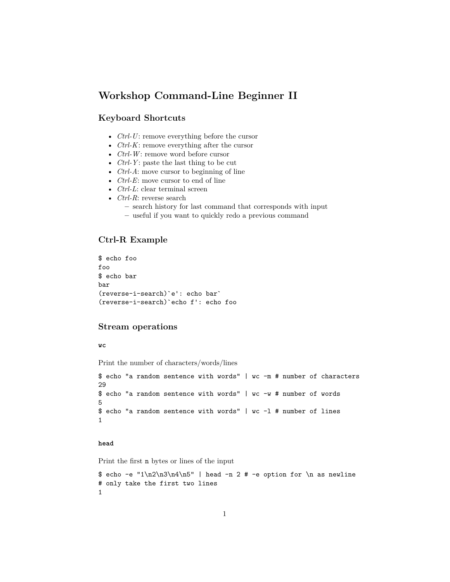# **Workshop Command-Line Beginner II**

# **Keyboard Shortcuts**

- *Ctrl-U*: remove everything before the cursor
- *Ctrl-K*: remove everything after the cursor
- *Ctrl-W*: remove word before cursor
- *Ctrl-Y* : paste the last thing to be cut
- *Ctrl-A*: move cursor to beginning of line
- *Ctrl-E*: move cursor to end of line
- *Ctrl-L*: clear terminal screen
- *Ctrl-R*: reverse search
	- **–** search history for last command that corresponds with input
	- **–** useful if you want to quickly redo a previous command

### **Ctrl-R Example**

```
$ echo foo
foo
$ echo bar
bar
(reverse-i-search)`e': echo bar`
(reverse-i-search)`echo f': echo foo
```
# **Stream operations**

#### **wc**

Print the number of characters/words/lines

```
$ echo "a random sentence with words" | wc -m # number of characters
29
$ echo "a random sentence with words" | wc -w # number of words
5
$ echo "a random sentence with words" | wc -l # number of lines
1
```
#### **head**

Print the first n bytes or lines of the input

```
\text{\$ echo -e "1\n2\n3\n4\n5" | head -n 2 # -e option for \n as newline# only take the first two lines
1
```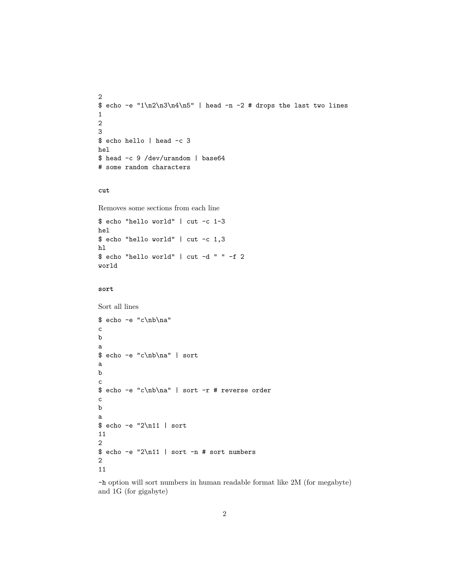```
2
\text{6} echo -e "1\n2\n3\n4\n5" | head -n -2 # drops the last two lines
1
2
3
$ echo hello | head -c 3
hel
$ head -c 9 /dev/urandom | base64
# some random characters
```
#### **cut**

Removes some sections from each line

```
$ echo "hello world" | cut -c 1-3
hel
$ echo "hello world" | cut -c 1,3
hl
$ echo "hello world" | cut -d " " -f 2
world
```
#### **sort**

Sort all lines

```
$ echo -e "c\nb\na"
c
b
a
$ echo -e "c\nb\na" | sort
a
b
c
$ echo -e "c\nb\na" | sort -r # reverse order
c
b
a
$ echo -e "2\n11 | sort
11
2
$ echo -e "2\n11 | sort -n # sort numbers
2
11
```
-h option will sort numbers in human readable format like 2M (for megabyte) and 1G (for gigabyte)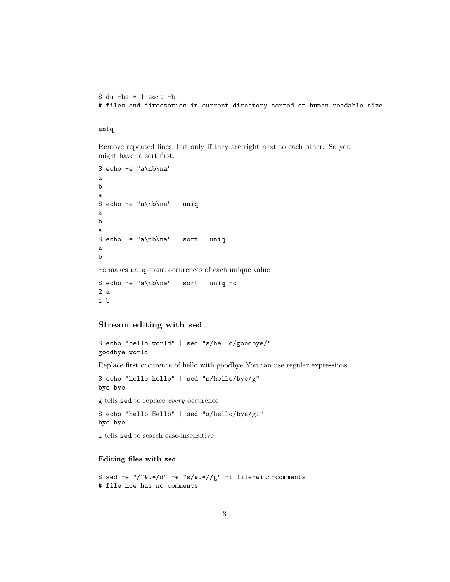```
$ du -hs * | sort -h
# files and directories in current directory sorted on human readable size
```
**uniq**

1 b

Remove repeated lines, but only if they are right next to each other. So you might have to sort first.

```
$ echo -e "a\nb\na"
a
b
a
$ echo -e "a\nb\na" | uniq
a
b
a
$ echo -e "a\nb\na" | sort | uniq
a
b
-c makes uniq count occurences of each unique value
$ echo -e "a\nb\na" | sort | uniq -c
2 a
```
#### **Stream editing with sed**

```
$ echo "hello world" | sed "s/hello/goodbye/"
goodbye world
```
Replace first occurence of hello with goodbye You can use regular expressions

\$ echo "hello hello" | sed "s/hello/bye/g" bye bye

g tells sed to replace *every* occurence

\$ echo "hello Hello" | sed "s/hello/bye/gi" bye bye

i tells sed to search case-insensitive

## **Editing files with sed**

\$ sed -e "/^#.\*/d" -e "s/#.\*//g" -i file-with-comments # file now has no comments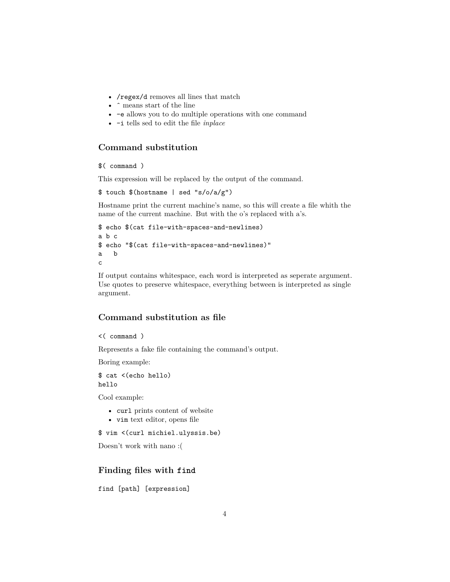- /regex/d removes all lines that match
- $\bullet~$   $\hat{}$  means start of the line
- -e allows you to do multiple operations with one command
- -i tells sed to edit the file *inplace*

# **Command substitution**

```
$( command )
```
This expression will be replaced by the output of the command.

```
$ touch $(hostname | sed "s/o/a/g")
```
Hostname print the current machine's name, so this will create a file whith the name of the current machine. But with the o's replaced with a's.

```
$ echo $(cat file-with-spaces-and-newlines)
a b c
$ echo "$(cat file-with-spaces-and-newlines)"
a b
c
```
If output contains whitespace, each word is interpreted as seperate argument. Use quotes to preserve whitespace, everything between is interpreted as single argument.

# **Command substitution as file**

```
<( command )
```
Represents a fake file containing the command's output.

Boring example:

\$ cat <(echo hello) hello

Cool example:

- curl prints content of website
- vim text editor, opens file

```
$ vim <(curl michiel.ulyssis.be)
```
Doesn't work with nano :(

# **Finding files with find**

find [path] [expression]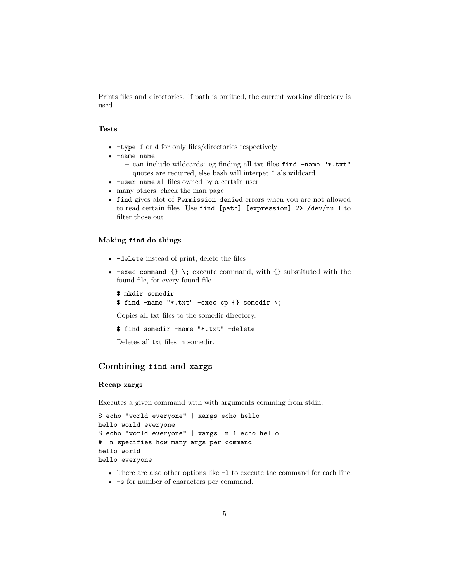Prints files and directories. If path is omitted, the current working directory is used.

#### **Tests**

- -type f or d for only files/directories respectively
- -name name
	- **–** can include wildcards: eg finding all txt files find -name "\*.txt" quotes are required, else bash will interpet \* als wildcard
- -user name all files owned by a certain user
- many others, check the man page
- find gives alot of Permission denied errors when you are not allowed to read certain files. Use find [path] [expression] 2> /dev/null to filter those out

#### **Making find do things**

- -delete instead of print, delete the files
- $-exec command \{\}\i$ ; execute command, with  $\{\}\n$  substituted with the found file, for every found file.

```
$ mkdir somedir
$ find -name "*.txt" -exec cp {} somedir \;
```
Copies all txt files to the somedir directory.

\$ find somedir -name "\*.txt" -delete

Deletes all txt files in somedir.

## **Combining find and xargs**

### **Recap xargs**

Executes a given command with with arguments comming from stdin.

```
$ echo "world everyone" | xargs echo hello
hello world everyone
$ echo "world everyone" | xargs -n 1 echo hello
# -n specifies how many args per command
hello world
hello everyone
```
- There are also other options like  $-1$  to execute the command for each line.
- -s for number of characters per command.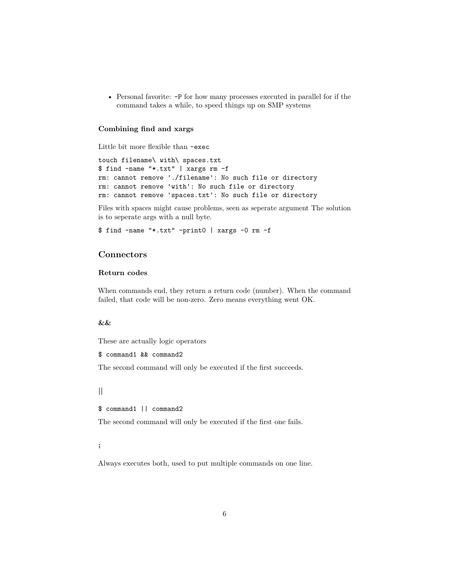• Personal favorite: -P for how many processes executed in parallel for if the command takes a while, to speed things up on SMP systems

#### **Combining find and xargs**

Little bit more flexible than -exec

touch filename\ with\ spaces.txt \$ find -name "\*.txt" | xargs rm -f rm: cannot remove './filename': No such file or directory rm: cannot remove 'with': No such file or directory rm: cannot remove 'spaces.txt': No such file or directory

Files with spaces might cause problems, seen as seperate argument The solution is to seperate args with a null byte.

\$ find -name "\*.txt" -print0 | xargs -0 rm -f

# **Connectors**

#### **Return codes**

When commands end, they return a return code (number). When the command failed, that code will be non-zero. Zero means everything went OK.

# **&&**

These are actually logic operators

```
$ command1 && command2
```
The second command will only be executed if the first succeeds.

#### **||**

\$ command1 || command2

The second command will only be executed if the first one fails.

#### **;**

Always executes both, used to put multiple commands on one line.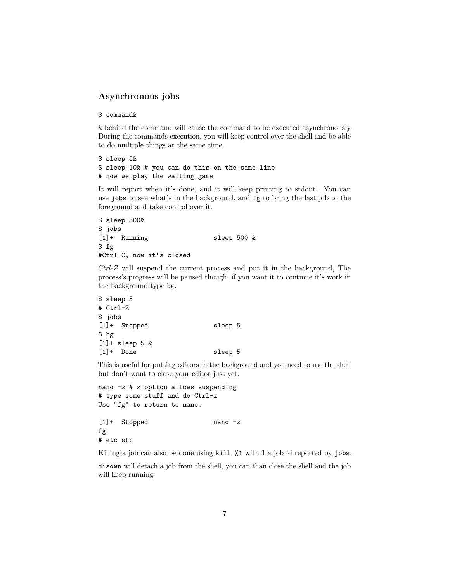# **Asynchronous jobs**

#### \$ command&

& behind the command will cause the command to be executed asynchronously. During the commands execution, you will keep control over the shell and be able to do multiple things at the same time.

\$ sleep 5& \$ sleep 10& # you can do this on the same line # now we play the waiting game

It will report when it's done, and it will keep printing to stdout. You can use jobs to see what's in the background, and fg to bring the last job to the foreground and take control over it.

```
$ sleep 500&
$ jobs
[1] + Running sleep 500 &
$ fg
#Ctrl-C, now it's closed
```
*Ctrl-Z* will suspend the current process and put it in the background, The process's progress will be paused though, if you want it to continue it's work in the background type bg.

```
$ sleep 5
# Ctrl-Z
$ jobs
[1] + Stopped sleep 5
$ bg
[1]+ sleep 5 &
[1]+ Done sleep 5
```
This is useful for putting editors in the background and you need to use the shell but don't want to close your editor just yet.

```
nano -z # z option allows suspending
# type some stuff and do Ctrl-z
Use "fg" to return to nano.
[1]+ Stopped nano -z
fg
# etc etc
```
Killing a job can also be done using kill %1 with 1 a job id reported by jobs.

disown will detach a job from the shell, you can than close the shell and the job will keep running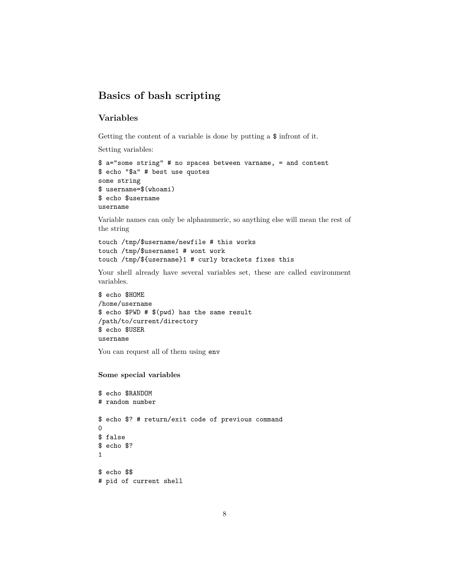# **Basics of bash scripting**

# **Variables**

Getting the content of a variable is done by putting a \$ infront of it.

Setting variables:

```
$ a="some string" # no spaces between varname, = and content
$ echo "$a" # best use quotes
some string
$ username=$(whoami)
$ echo $username
username
```
Variable names can only be alphanumeric, so anything else will mean the rest of the string

```
touch /tmp/$username/newfile # this works
touch /tmp/$username1 # wont work
touch /tmp/${username}1 # curly brackets fixes this
```
Your shell already have several variables set, these are called environment variables.

```
$ echo $HOME
```

```
/home/username
$ echo $PWD # $(pwd) has the same result
/path/to/current/directory
$ echo $USER
username
```
You can request all of them using env

### **Some special variables**

```
$ echo $RANDOM
# random number
$ echo $? # return/exit code of previous command
\Omega$ false
$ echo $?
1
$ echo $$
# pid of current shell
```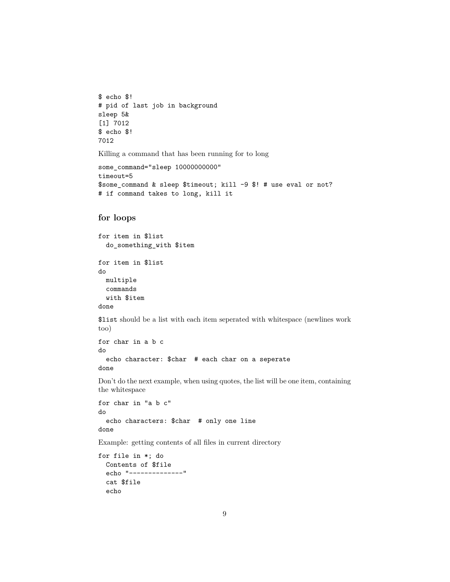```
$ echo $!
# pid of last job in background
sleep 5&
[1] 7012
$ echo $!
7012
```
Killing a command that has been running for to long

```
some_command="sleep 10000000000"
timeout=5
$some_command & sleep $timeout; kill -9 $! # use eval or not?
# if command takes to long, kill it
```
# **for loops**

```
for item in $list
 do_something_with $item
for item in $list
do
 multiple
 commands
 with $item
done
```
\$list should be a list with each item seperated with whitespace (newlines work too)

```
for char in a b c
do
 echo character: $char # each char on a seperate
done
```
Don't do the next example, when using quotes, the list will be one item, containing the whitespace

```
for char in "a b c"
do
 echo characters: $char # only one line
done
```
Example: getting contents of all files in current directory

```
for file in *; do
 Contents of $file
 echo "--------------"
 cat $file
 echo
```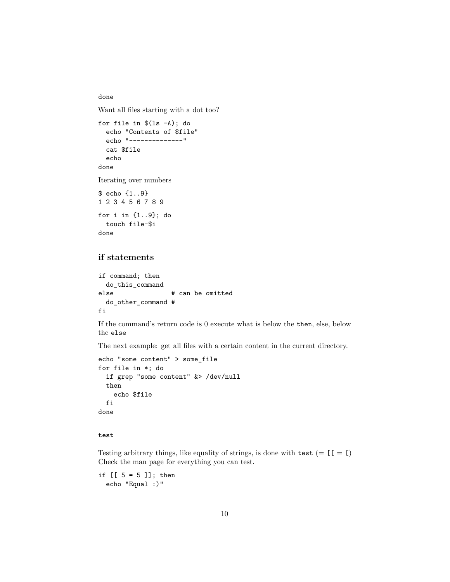done

Want all files starting with a dot too?

```
for file in $(ls -A); do
 echo "Contents of $file"
 echo "--------------"
 cat $file
 echo
done
Iterating over numbers
$ echo {1..9}
```
1 2 3 4 5 6 7 8 9 for i in {1..9}; do touch file-\$i done

# **if statements**

```
if command; then
 do_this_command
else # can be omitted
 do_other_command #
fi
```
If the command's return code is 0 execute what is below the then, else, below the else

The next example: get all files with a certain content in the current directory.

```
echo "some content" > some_file
for file in *; do
 if grep "some content" &> /dev/null
 then
    echo $file
 fi
done
```
## **test**

Testing arbitrary things, like equality of strings, is done with test (=  $[$ [ $=$  [ $)$ ]) Check the man page for everything you can test.

if  $[5 = 5]$ ; then echo "Equal :)"